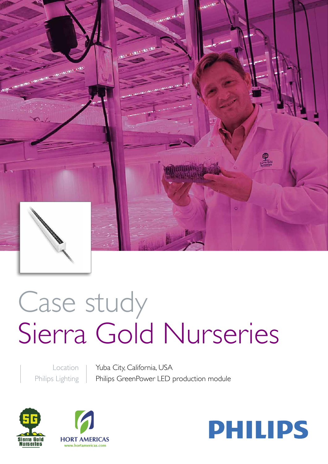

# Case study Sierra Gold Nurseries

Location Philips Lighting

Yuba City, California, USA Philips GreenPower LED production module





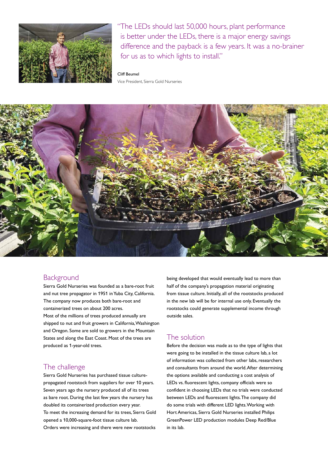

"The LEDs should last 50,000 hours, plant performance is better under the LEDs, there is a major energy savings difference and the payback is a few years. It was a no-brainer for us as to which lights to install."

#### Cliff Beumel

Vice President, Sierra Gold Nurseries



## **Background**

Sierra Gold Nurseries was founded as a bare-root fruit and nut tree propagator in 1951 in Yuba City, California. The company now produces both bare-root and containerized trees on about 200 acres. Most of the millions of trees produced annually are shipped to nut and fruit growers in California, Washington and Oregon. Some are sold to growers in the Mountain States and along the East Coast. Most of the trees are produced as 1-year-old trees.

## The challenge

Sierra Gold Nurseries has purchased tissue culturepropagated rootstock from suppliers for over 10 years. Seven years ago the nursery produced all of its trees as bare root. During the last few years the nursery has doubled its containerized production every year. To meet the increasing demand for its trees, Sierra Gold opened a 10,000-square-foot tissue culture lab. Orders were increasing and there were new rootstocks

being developed that would eventually lead to more than half of the company's propagation material originating from tissue culture. Initially, all of the rootstocks produced in the new lab will be for internal use only. Eventually the rootstocks could generate supplemental income through outside sales.

# The solution

Before the decision was made as to the type of lights that were going to be installed in the tissue culture lab, a lot of information was collected from other labs, researchers and consultants from around the world. After determining the options available and conducting a cost analysis of LEDs vs. fluorescent lights, company officials were so confident in choosing LEDs that no trials were conducted between LEDs and fluorescent lights. The company did do some trials with different LED lights. Working with Hort Americas, Sierra Gold Nurseries installed Philips GreenPower LED production modules Deep Red/Blue in its lab.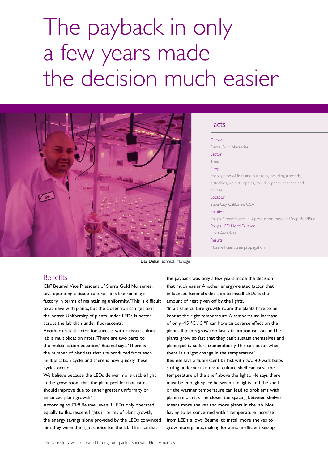# The payback in only a few years made the decision much easier



#### Facts

Grower Sierra Gold Nurseries Sector Trees Crop Propagation of fruit and nut trees, including almonds, pistachios, walnuts, apples, cherries, pears, peaches and prunes Location Yuba City, California, USA **Solution** Philips GreenPower LED production module Deep Red/Blue Philips LED Horti Partner Hort Americas Results More efficient tree propagation

Ejay Dehal Technical Manager

#### **Benefits**

Cliff Beumel, Vice President of Sierra Gold Nurseries, says operating a tissue culture lab is like running a factory in terms of maintaining uniformity. 'This is difficult to achieve with plants, but the closer you can get to it the better. Uniformity of plants under LEDs is better across the lab than under fluorescents.'

Another critical factor for success with a tissue culture lab is multiplication rates. 'There are two parts to the multiplication equation,' Beumel says. 'There is the number of plantlets that are produced from each multiplication cycle, and there is how quickly these cycles occur.

We believe because the LEDs deliver more usable light in the grow room that the plant proliferation rates should improve due to either greater uniformity or enhanced plant growth.'

According to Cliff Beumel, even if LEDs only operated equally to fluorescent lights in terms of plant growth, the energy savings alone provided by the LEDs convinced him they were the right choice for the lab. The fact that

the payback was only a few years made the decision that much easier. Another energy-related factor that influenced Beumel's decision to install LEDs is the amount of heat given off by the lights.

'In a tissue culture growth room the plants have to be kept at the right temperature. A temperature increase of only -15 ºC / 5 ºF can have an adverse effect on the plants. If plants grow too fast vitrification can occur. The plants grow so fast that they can't sustain themselves and plant quality suffers tremendously. This can occur when there is a slight change in the temperature.'

Beumel says a fluorescent ballast with two 40-watt bulbs sitting underneath a tissue culture shelf can raise the temperature of the shelf above the lights. He says there must be enough space between the lights and the shelf or the warmer temperature can lead to problems with plant uniformity. The closer the spacing between shelves means more shelves and more plants in the lab. Not having to be concerned with a temperature increase from LEDs allows Beumel to install more shelves to grow more plants, making for a more efficient set-up.